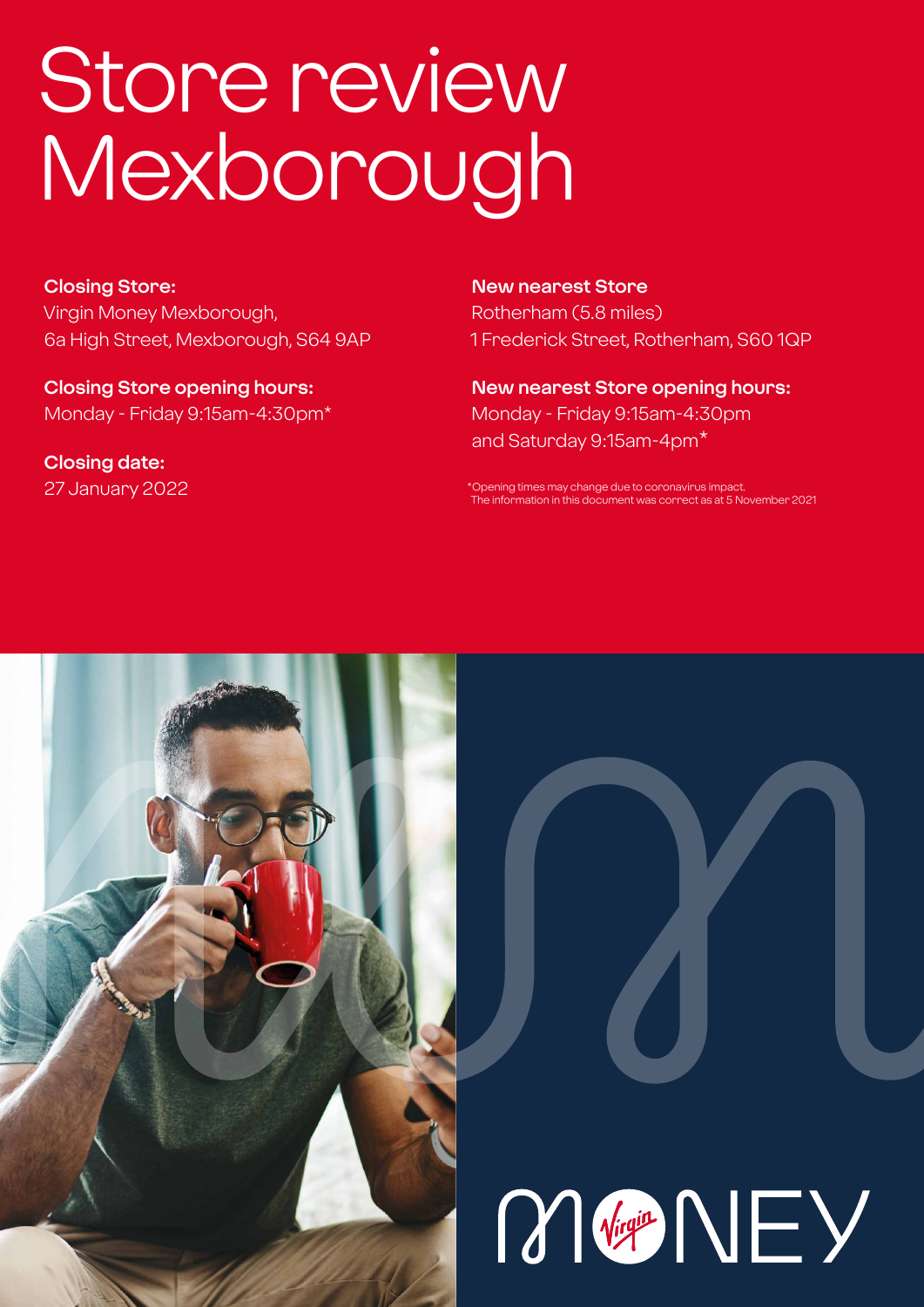# Store review Mexborough

**Closing Store:** Virgin Money Mexborough, 6a High Street, Mexborough, S64 9AP

**Closing Store opening hours:**  Monday - Friday 9:15am-4:30pm\*

**Closing date:**  27 January 2022 **New nearest Store**

Rotherham (5.8 miles) 1 Frederick Street, Rotherham, S60 1QP

**New nearest Store opening hours:** Monday - Friday 9:15am-4:30pm and Saturday 9:15am-4pm\*

\*Opening times may change due to coronavirus impact. The information in this document was correct as at 5 November 2021



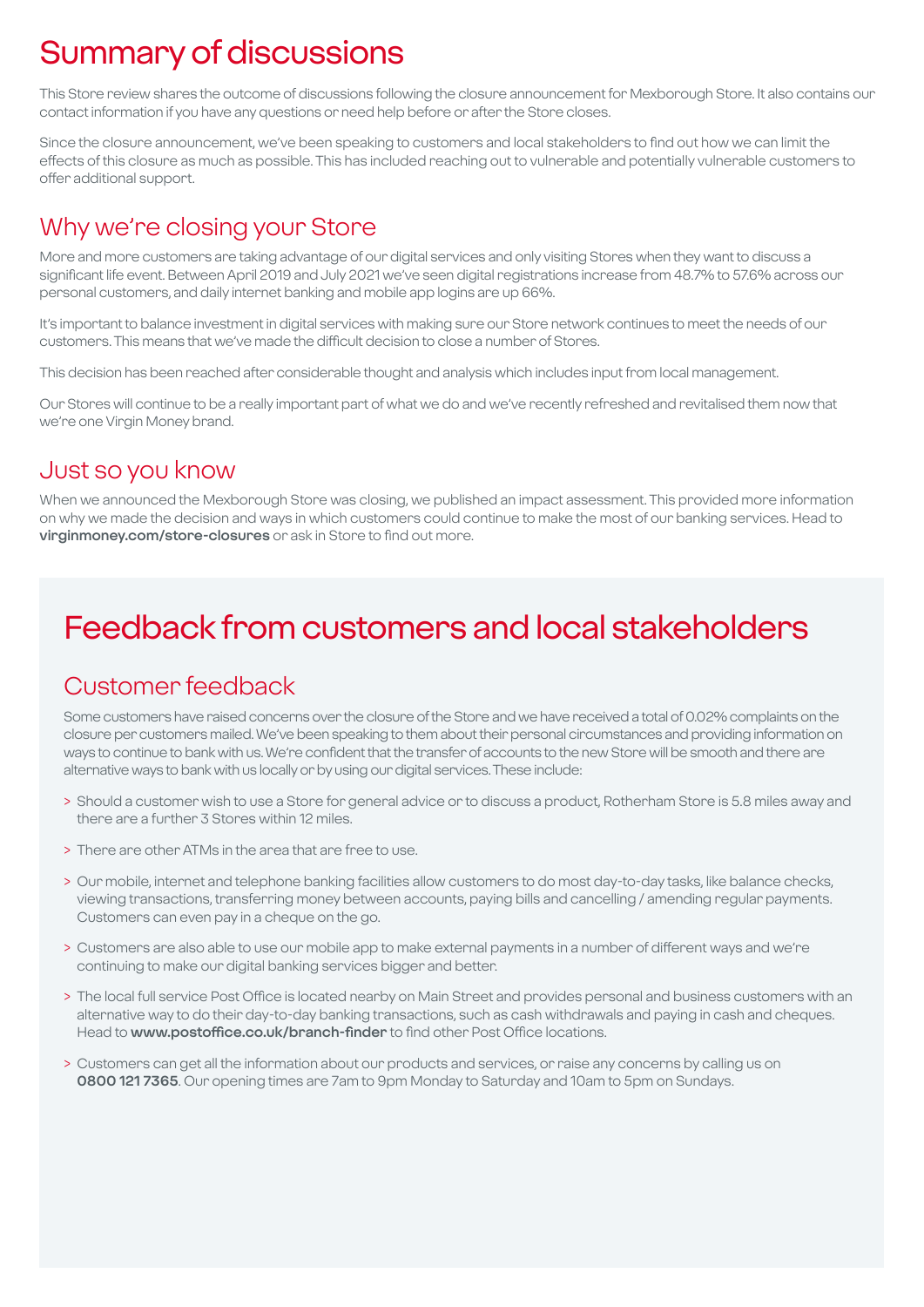# Summary of discussions

This Store review shares the outcome of discussions following the closure announcement for Mexborough Store. It also contains our contact information if you have any questions or need help before or after the Store closes.

Since the closure announcement, we've been speaking to customers and local stakeholders to find out how we can limit the effects of this closure as much as possible. This has included reaching out to vulnerable and potentially vulnerable customers to offer additional support.

### Why we're closing your Store

More and more customers are taking advantage of our digital services and only visiting Stores when they want to discuss a significant life event. Between April 2019 and July 2021 we've seen digital registrations increase from 48.7% to 57.6% across our personal customers, and daily internet banking and mobile app logins are up 66%.

It's important to balance investment in digital services with making sure our Store network continues to meet the needs of our customers. This means that we've made the difficult decision to close a number of Stores.

This decision has been reached after considerable thought and analysis which includes input from local management.

Our Stores will continue to be a really important part of what we do and we've recently refreshed and revitalised them now that we're one Virgin Money brand.

### Just so you know

When we announced the Mexborough Store was closing, we published an impact assessment. This provided more information on why we made the decision and ways in which customers could continue to make the most of our banking services. Head to **virginmoney.com/store-closures** or ask in Store to find out more.

# Feedback from customers and local stakeholders

### Customer feedback

Some customers have raised concerns over the closure of the Store and we have received a total of 0.02% complaints on the closure per customers mailed. We've been speaking to them about their personal circumstances and providing information on ways to continue to bank with us. We're confident that the transfer of accounts to the new Store will be smooth and there are alternative ways to bank with us locally or by using our digital services. These include:

- > Should a customer wish to use a Store for general advice or to discuss a product, Rotherham Store is 5.8 miles away and there are a further 3 Stores within 12 miles.
- > There are other ATMs in the area that are free to use.
- > Our mobile, internet and telephone banking facilities allow customers to do most day-to-day tasks, like balance checks, viewing transactions, transferring money between accounts, paying bills and cancelling / amending regular payments. Customers can even pay in a cheque on the go.
- > Customers are also able to use our mobile app to make external payments in a number of different ways and we're continuing to make our digital banking services bigger and better.
- > The local full service Post Office is located nearby on Main Street and provides personal and business customers with an alternative way to do their day-to-day banking transactions, such as cash withdrawals and paying in cash and cheques. Head to **www.postoffice.co.uk/branch-finder** to find other Post Office locations.
- > Customers can get all the information about our products and services, or raise any concerns by calling us on **0800 121 7365**. Our opening times are 7am to 9pm Monday to Saturday and 10am to 5pm on Sundays.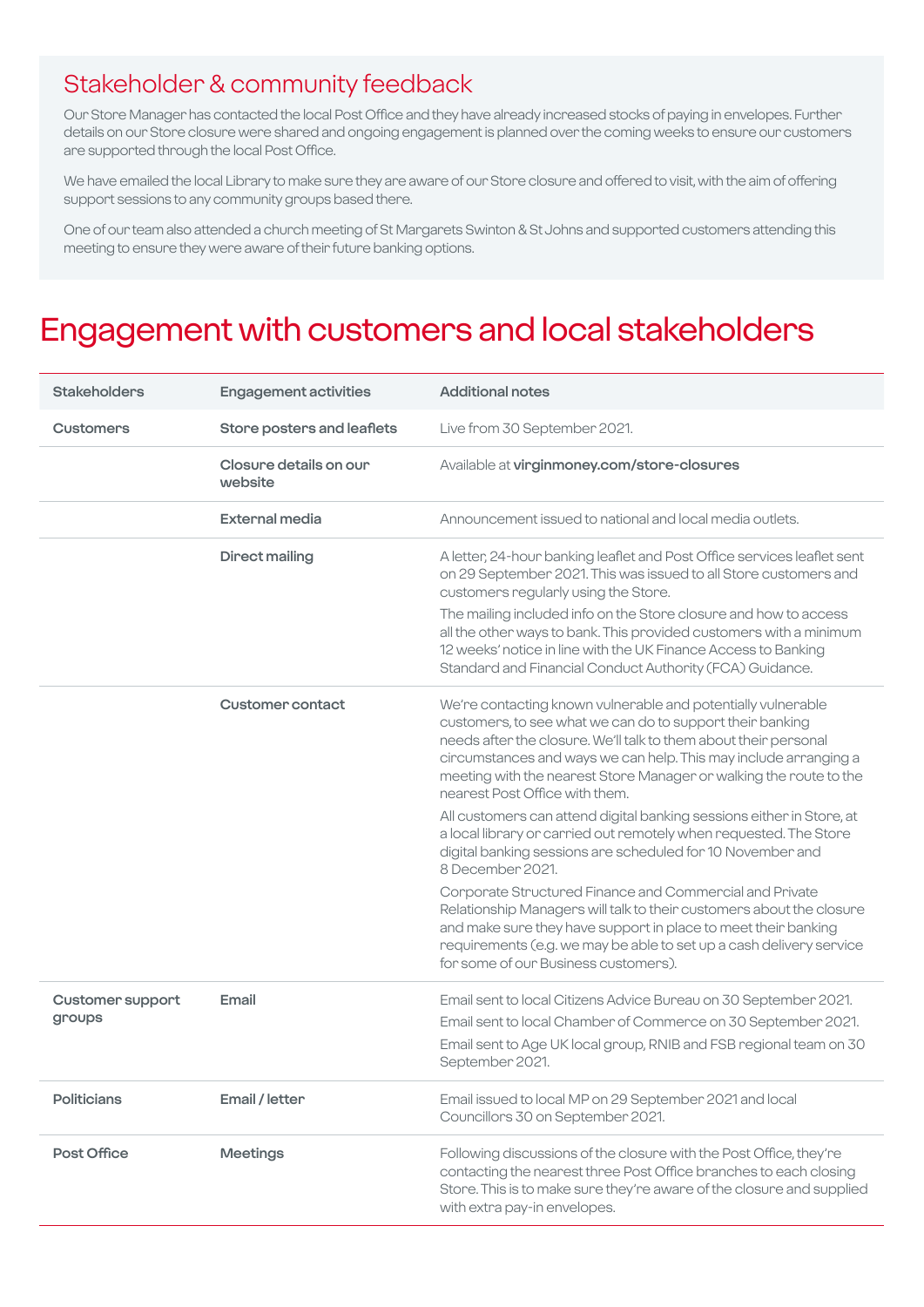### Stakeholder & community feedback

Our Store Manager has contacted the local Post Office and they have already increased stocks of paying in envelopes. Further details on our Store closure were shared and ongoing engagement is planned over the coming weeks to ensure our customers are supported through the local Post Office.

We have emailed the local Library to make sure they are aware of our Store closure and offered to visit, with the aim of offering support sessions to any community groups based there.

One of our team also attended a church meeting of St Margarets Swinton & St Johns and supported customers attending this meeting to ensure they were aware of their future banking options.

### Engagement with customers and local stakeholders

| <b>Stakeholders</b>               | <b>Engagement activities</b>      | <b>Additional notes</b>                                                                                                                                                                                                                                                                                                                                                                                                                                     |
|-----------------------------------|-----------------------------------|-------------------------------------------------------------------------------------------------------------------------------------------------------------------------------------------------------------------------------------------------------------------------------------------------------------------------------------------------------------------------------------------------------------------------------------------------------------|
| <b>Customers</b>                  | Store posters and leaflets        | Live from 30 September 2021.                                                                                                                                                                                                                                                                                                                                                                                                                                |
|                                   | Closure details on our<br>website | Available at virginmoney.com/store-closures                                                                                                                                                                                                                                                                                                                                                                                                                 |
|                                   | <b>External media</b>             | Announcement issued to national and local media outlets.                                                                                                                                                                                                                                                                                                                                                                                                    |
|                                   | <b>Direct mailing</b>             | A letter, 24-hour banking leaflet and Post Office services leaflet sent<br>on 29 September 2021. This was issued to all Store customers and<br>customers regularly using the Store.<br>The mailing included info on the Store closure and how to access<br>all the other ways to bank. This provided customers with a minimum<br>12 weeks' notice in line with the UK Finance Access to Banking<br>Standard and Financial Conduct Authority (FCA) Guidance. |
|                                   | <b>Customer contact</b>           | We're contacting known vulnerable and potentially vulnerable<br>customers, to see what we can do to support their banking<br>needs after the closure. We'll talk to them about their personal<br>circumstances and ways we can help. This may include arranging a<br>meeting with the nearest Store Manager or walking the route to the<br>nearest Post Office with them.                                                                                   |
|                                   |                                   | All customers can attend digital banking sessions either in Store, at<br>a local library or carried out remotely when requested. The Store<br>digital banking sessions are scheduled for 10 November and<br>8 December 2021.                                                                                                                                                                                                                                |
|                                   |                                   | Corporate Structured Finance and Commercial and Private<br>Relationship Managers will talk to their customers about the closure<br>and make sure they have support in place to meet their banking<br>requirements (e.g. we may be able to set up a cash delivery service<br>for some of our Business customers).                                                                                                                                            |
| <b>Customer support</b><br>groups | Email                             | Email sent to local Citizens Advice Bureau on 30 September 2021.<br>Email sent to local Chamber of Commerce on 30 September 2021.<br>Email sent to Age UK local group, RNIB and FSB regional team on 30<br>September 2021.                                                                                                                                                                                                                                  |
| <b>Politicians</b>                | Email / letter                    | Email issued to local MP on 29 September 2021 and local<br>Councillors 30 on September 2021.                                                                                                                                                                                                                                                                                                                                                                |
| Post Office                       | <b>Meetings</b>                   | Following discussions of the closure with the Post Office, they're<br>contacting the nearest three Post Office branches to each closing<br>Store. This is to make sure they're aware of the closure and supplied<br>with extra pay-in envelopes.                                                                                                                                                                                                            |